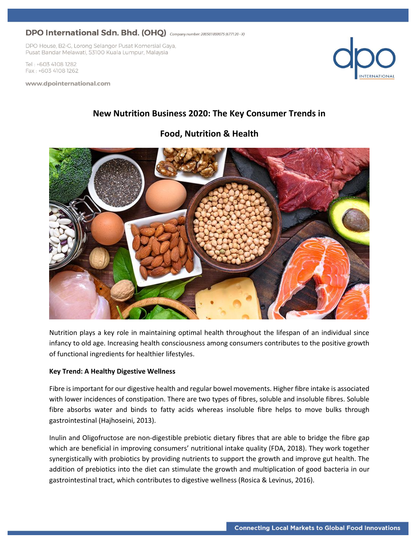DPO House, B2-G, Lorong Selangor Pusat Komersial Gaya, Pusat Bandar Melawati, 53100 Kuala Lumpur, Malaysia

Tel: +603 4108 1282 Fax: +603 4108 1262

www.dpointernational.com



# **New Nutrition Business 2020: The Key Consumer Trends in**

## **Food, Nutrition & Health**



Nutrition plays a key role in maintaining optimal health throughout the lifespan of an individual since infancy to old age. Increasing health consciousness among consumers contributes to the positive growth of functional ingredients for healthier lifestyles.

### **Key Trend: A Healthy Digestive Wellness**

Fibre is important for our digestive health and regular bowel movements. Higher fibre intake is associated with lower incidences of constipation. There are two types of fibres, soluble and insoluble fibres. Soluble fibre absorbs water and binds to fatty acids whereas insoluble fibre helps to move bulks through gastrointestinal (Hajhoseini, 2013).

Inulin and Oligofructose are non-digestible prebiotic dietary fibres that are able to bridge the fibre gap which are beneficial in improving consumers' nutritional intake quality (FDA, 2018). They work together synergistically with probiotics by providing nutrients to support the growth and improve gut health. The addition of prebiotics into the diet can stimulate the growth and multiplication of good bacteria in our gastrointestinal tract, which contributes to digestive wellness (Rosica & Levinus, 2016).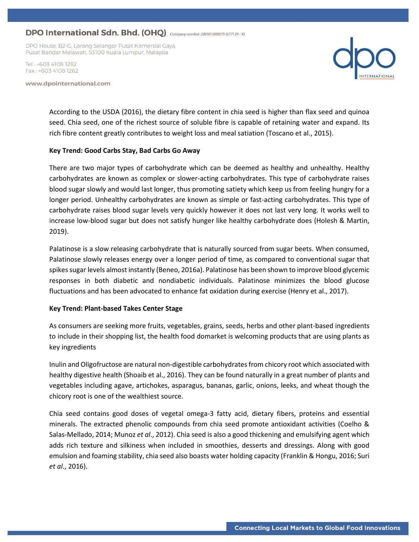DPO House, B2-G, Lorong Selangor Pusat Komersial Gaya, Pusat Bandar Melawati, 53100 Kuala Lumpur, Malaysia

Tel · +603 4108 1282 Fax: +603 4108 1262

www.dpointernational.com



According to the USDA (2016), the dietary fibre content in chia seed is higher than flax seed and quinoa seed. Chia seed, one of the richest source of soluble fibre is capable of retaining water and expand. Its rich fibre content greatly contributes to weight loss and meal satiation (Toscano et al., 2015).

#### **Key Trend: Good Carbs Stay, Bad Carbs Go Away**

There are two major types of carbohydrate which can be deemed as healthy and unhealthy. Healthy carbohydrates are known as complex or slower-acting carbohydrates. This type of carbohydrate raises blood sugar slowly and would last longer, thus promoting satiety which keep us from feeling hungry for a longer period. Unhealthy carbohydrates are known as simple or fast-acting carbohydrates. This type of carbohydrate raises blood sugar levels very quickly however it does not last very long. It works well to increase low-blood sugar but does not satisfy hunger like healthy carbohydrate does (Holesh & Martin, 2019).

Palatinose is a slow releasing carbohydrate that is naturally sourced from sugar beets. When consumed, Palatinose slowly releases energy over a longer period of time, as compared to conventional sugar that spikes sugar levels almost instantly (Beneo, 2016a). Palatinose has been shown to improve blood glycemic responses in both diabetic and nondiabetic individuals. Palatinose minimizes the blood glucose fluctuations and has been advocated to enhance fat oxidation during exercise (Henry et al., 2017).

### **Key Trend: Plant-based Takes Center Stage**

As consumers are seeking more fruits, vegetables, grains, seeds, herbs and other plant-based ingredients to include in their shopping list, the health food domarket is welcoming products that are using plants as key ingredients

Inulin and Oligofructose are natural non-digestible carbohydrates from chicory root which associated with healthy digestive health (Shoaib et al., 2016). They can be found naturally in a great number of plants and vegetables including agave, artichokes, asparagus, bananas, garlic, onions, leeks, and wheat though the chicory root is one of the wealthiest source.

Chia seed contains good doses of vegetal omega-3 fatty acid, dietary fibers, proteins and essential minerals. The extracted phenolic compounds from chia seed promote antioxidant activities (Coelho & Salas-Mellado, 2014; Munoz *et al*., 2012). Chia seed is also a good thickening and emulsifying agent which adds rich texture and silkiness when included in smoothies, desserts and dressings. Along with good emulsion and foaming stability, chia seed also boasts water holding capacity (Franklin & Hongu, 2016; Suri *et al*., 2016).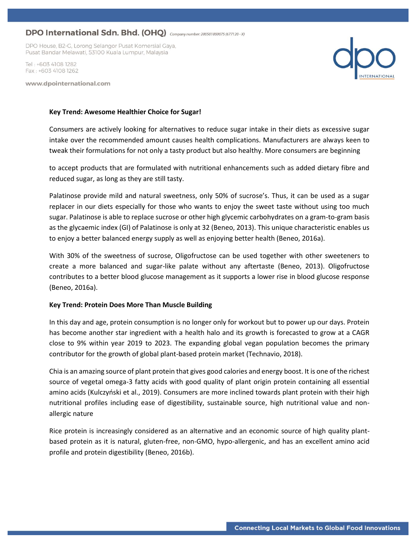DPO House, B2-G, Lorong Selangor Pusat Komersial Gaya, Pusat Bandar Melawati, 53100 Kuala Lumpur, Malaysia

Tel · +603 4108 1282 Fax: +603 4108 1262

www.dpointernational.com



#### **Key Trend: Awesome Healthier Choice for Sugar!**

Consumers are actively looking for alternatives to reduce sugar intake in their diets as excessive sugar intake over the recommended amount causes health complications. Manufacturers are always keen to tweak their formulations for not only a tasty product but also healthy. More consumers are beginning

to accept products that are formulated with nutritional enhancements such as added dietary fibre and reduced sugar, as long as they are still tasty.

Palatinose provide mild and natural sweetness, only 50% of sucrose's. Thus, it can be used as a sugar replacer in our diets especially for those who wants to enjoy the sweet taste without using too much sugar. Palatinose is able to replace sucrose or other high glycemic carbohydrates on a gram-to-gram basis as the glycaemic index (GI) of Palatinose is only at 32 (Beneo, 2013). This unique characteristic enables us to enjoy a better balanced energy supply as well as enjoying better health (Beneo, 2016a).

With 30% of the sweetness of sucrose, Oligofructose can be used together with other sweeteners to create a more balanced and sugar-like palate without any aftertaste (Beneo, 2013). Oligofructose contributes to a better blood glucose management as it supports a lower rise in blood glucose response (Beneo, 2016a).

### **Key Trend: Protein Does More Than Muscle Building**

In this day and age, protein consumption is no longer only for workout but to power up our days. Protein has become another star ingredient with a health halo and its growth is forecasted to grow at a CAGR close to 9% within year 2019 to 2023. The expanding global vegan population becomes the primary contributor for the growth of global plant-based protein market (Technavio, 2018).

Chia is an amazing source of plant protein that gives good calories and energy boost. It is one of the richest source of vegetal omega-3 fatty acids with good quality of plant origin protein containing all essential amino acids (Kulczyński et al., 2019). Consumers are more inclined towards plant protein with their high nutritional profiles including ease of digestibility, sustainable source, high nutritional value and nonallergic nature

Rice protein is increasingly considered as an alternative and an economic source of high quality plantbased protein as it is natural, gluten-free, non-GMO, hypo-allergenic, and has an excellent amino acid profile and protein digestibility (Beneo, 2016b).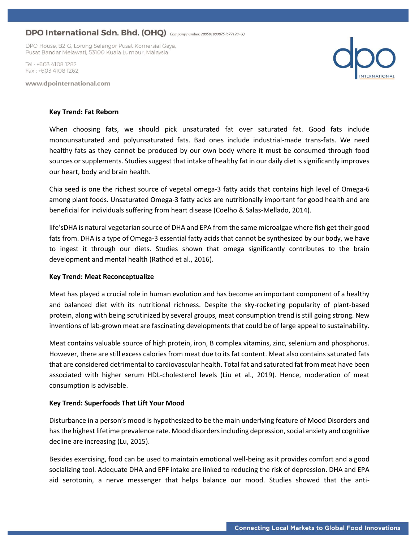DPO House, B2-G, Lorong Selangor Pusat Komersial Gaya, Pusat Bandar Melawati, 53100 Kuala Lumpur, Malaysia

Tel · +603 4108 1282 Fax: +603 4108 1262

www.dpointernational.com



#### **Key Trend: Fat Reborn**

When choosing fats, we should pick unsaturated fat over saturated fat. Good fats include monounsaturated and polyunsaturated fats. Bad ones include industrial-made trans-fats. We need healthy fats as they cannot be produced by our own body where it must be consumed through food sources or supplements. Studies suggest that intake of healthy fat in our daily diet is significantly improves our heart, body and brain health.

Chia seed is one the richest source of vegetal omega-3 fatty acids that contains high level of Omega-6 among plant foods. Unsaturated Omega-3 fatty acids are nutritionally important for good health and are beneficial for individuals suffering from heart disease (Coelho & Salas-Mellado, 2014).

life'sDHA is natural vegetarian source of DHA and EPA from the same microalgae where fish get their good fats from. DHA is a type of Omega-3 essential fatty acids that cannot be synthesized by our body, we have to ingest it through our diets. Studies shown that omega significantly contributes to the brain development and mental health (Rathod et al., 2016).

#### **Key Trend: Meat Reconceptualize**

Meat has played a crucial role in human evolution and has become an important component of a healthy and balanced diet with its nutritional richness. Despite the sky-rocketing popularity of plant-based protein, along with being scrutinized by several groups, meat consumption trend is still going strong. New inventions of lab-grown meat are fascinating developments that could be of large appeal to sustainability.

Meat contains valuable source of high protein, iron, B complex vitamins, zinc, selenium and phosphorus. However, there are still excess calories from meat due to its fat content. Meat also contains saturated fats that are considered detrimental to cardiovascular health. Total fat and saturated fat from meat have been associated with higher serum HDL-cholesterol levels (Liu et al., 2019). Hence, moderation of meat consumption is advisable.

#### **Key Trend: Superfoods That Lift Your Mood**

Disturbance in a person's mood is hypothesized to be the main underlying feature of Mood Disorders and has the highest lifetime prevalence rate. Mood disorders including depression, social anxiety and cognitive decline are increasing (Lu, 2015).

Besides exercising, food can be used to maintain emotional well-being as it provides comfort and a good socializing tool. Adequate DHA and EPF intake are linked to reducing the risk of depression. DHA and EPA aid serotonin, a nerve messenger that helps balance our mood. Studies showed that the anti-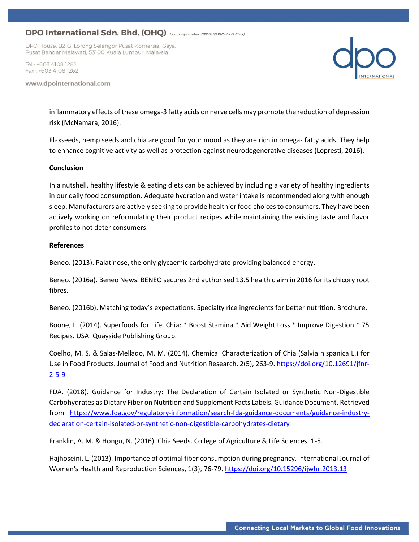DPO House, B2-G, Lorong Selangor Pusat Komersial Gaya, Pusat Bandar Melawati, 53100 Kuala Lumpur, Malaysia

Tel · +603 4108 1282 Fax: +603 4108 1262

www.dpointernational.com



inflammatory effects of these omega-3 fatty acids on nerve cells may promote the reduction of depression risk (McNamara, 2016).

Flaxseeds, hemp seeds and chia are good for your mood as they are rich in omega- fatty acids. They help to enhance cognitive activity as well as protection against neurodegenerative diseases (Lopresti, 2016).

#### **Conclusion**

In a nutshell, healthy lifestyle & eating diets can be achieved by including a variety of healthy ingredients in our daily food consumption. Adequate hydration and water intake is recommended along with enough sleep. Manufacturers are actively seeking to provide healthier food choices to consumers. They have been actively working on reformulating their product recipes while maintaining the existing taste and flavor profiles to not deter consumers.

#### **References**

Beneo. (2013). Palatinose, the only glycaemic carbohydrate providing balanced energy.

Beneo. (2016a). Beneo News. BENEO secures 2nd authorised 13.5 health claim in 2016 for its chicory root fibres.

Beneo. (2016b). Matching today's expectations. Specialty rice ingredients for better nutrition. Brochure.

Boone, L. (2014). Superfoods for Life, Chia: \* Boost Stamina \* Aid Weight Loss \* Improve Digestion \* 75 Recipes. USA: Quayside Publishing Group.

Coelho, M. S. & Salas-Mellado, M. M. (2014). Chemical Characterization of Chia (Salvia hispanica L.) for Use in Food Products. Journal of Food and Nutrition Research, 2(5), 263-9[. https://doi.org/10.12691/jfnr-](https://doi.org/10.12691/jfnr-2-5-9)[2-5-9](https://doi.org/10.12691/jfnr-2-5-9)

FDA. (2018). Guidance for Industry: The Declaration of Certain Isolated or Synthetic Non-Digestible Carbohydrates as Dietary Fiber on Nutrition and Supplement Facts Labels. Guidance Document. Retrieved from [https://www.fda.gov/regulatory-information/search-fda-guidance-documents/guidance-industry](https://www.fda.gov/regulatory-information/search-fda-guidance-documents/guidance-industry-declaration-certain-isolated-or-synthetic-non-digestible-carbohydrates-dietary)[declaration-certain-isolated-or-synthetic-non-digestible-carbohydrates-dietary](https://www.fda.gov/regulatory-information/search-fda-guidance-documents/guidance-industry-declaration-certain-isolated-or-synthetic-non-digestible-carbohydrates-dietary)

Franklin, A. M. & Hongu, N. (2016). Chia Seeds. College of Agriculture & Life Sciences, 1-5.

Hajhoseini, L. (2013). Importance of optimal fiber consumption during pregnancy. International Journal of Women's Health and Reproduction Sciences, 1(3), 76-79[. https://doi.org/10.15296/ijwhr.2013.13](https://doi.org/10.15296/ijwhr.2013.13)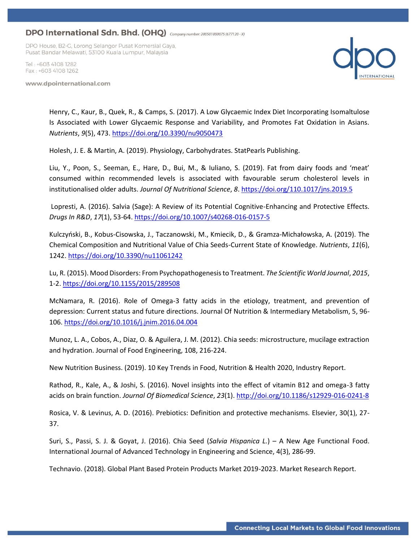DPO House, B2-G, Lorong Selangor Pusat Komersial Gaya, Pusat Bandar Melawati, 53100 Kuala Lumpur, Malaysia

Tel · +603 4108 1282 Fax: +603 4108 1262

www.dpointernational.com



Henry, C., Kaur, B., Quek, R., & Camps, S. (2017). A Low Glycaemic Index Diet Incorporating Isomaltulose Is Associated with Lower Glycaemic Response and Variability, and Promotes Fat Oxidation in Asians. *Nutrients*, *9*(5), 473.<https://doi.org/10.3390/nu9050473>

Holesh, J. E. & Martin, A. (2019). Physiology, Carbohydrates. StatPearls Publishing.

Liu, Y., Poon, S., Seeman, E., Hare, D., Bui, M., & Iuliano, S. (2019). Fat from dairy foods and 'meat' consumed within recommended levels is associated with favourable serum cholesterol levels in institutionalised older adults. *Journal Of Nutritional Science*, *8*[. https://doi.org/110.1017/jns.2019.5](https://doi.org/110.1017/jns.2019.5)

Lopresti, A. (2016). Salvia (Sage): A Review of its Potential Cognitive-Enhancing and Protective Effects. *Drugs In R&D*, *17*(1), 53-64[. https://doi.org/10.1007/s40268-016-0157-5](https://doi.org/10.1007/s40268-016-0157-5)

Kulczyński, B., Kobus-Cisowska, J., Taczanowski, M., Kmiecik, D., & Gramza-Michałowska, A. (2019). The Chemical Composition and Nutritional Value of Chia Seeds-Current State of Knowledge. *Nutrients*, *11*(6), 1242[. https://doi.org/10.3390/nu11061242](https://doi.org/10.3390/nu11061242)

Lu, R. (2015). Mood Disorders: From Psychopathogenesis to Treatment. *The Scientific World Journal*, *2015*, 1-2.<https://doi.org/10.1155/2015/289508>

McNamara, R. (2016). Role of Omega-3 fatty acids in the etiology, treatment, and prevention of depression: Current status and future directions. Journal Of Nutrition & Intermediary Metabolism, 5, 96- 106.<https://doi.org/10.1016/j.jnim.2016.04.004>

Munoz, L. A., Cobos, A., Diaz, O. & Aguilera, J. M. (2012). Chia seeds: microstructure, mucilage extraction and hydration. Journal of Food Engineering, 108, 216-224.

New Nutrition Business. (2019). 10 Key Trends in Food, Nutrition & Health 2020, Industry Report.

Rathod, R., Kale, A., & Joshi, S. (2016). Novel insights into the effect of vitamin B12 and omega-3 fatty acids on brain function. *Journal Of Biomedical Science*, *23*(1)[. http://doi.org/10.1186/s12929-016-0241-8](http://doi.org/10.1186/s12929-016-0241-8)

Rosica, V. & Levinus, A. D. (2016). Prebiotics: Definition and protective mechanisms. Elsevier, 30(1), 27- 37.

Suri, S., Passi, S. J. & Goyat, J. (2016). Chia Seed (*Salvia Hispanica L.*) – A New Age Functional Food. International Journal of Advanced Technology in Engineering and Science, 4(3), 286-99.

Technavio. (2018). Global Plant Based Protein Products Market 2019-2023. Market Research Report.